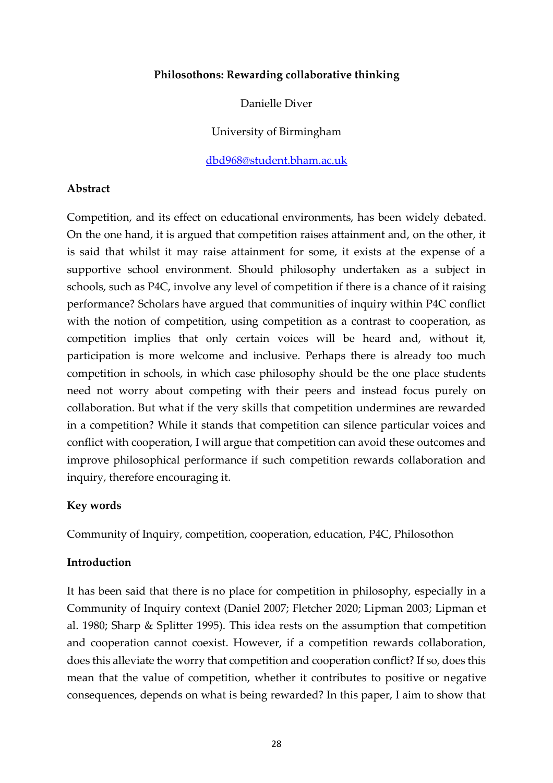#### **Philosothons: Rewarding collaborative thinking**

Danielle Diver

University of Birmingham

[dbd968@student.bham.ac.uk](mailto:dbd968@student.bham.ac.uk)

### **Abstract**

Competition, and its effect on educational environments, has been widely debated. On the one hand, it is argued that competition raises attainment and, on the other, it is said that whilst it may raise attainment for some, it exists at the expense of a supportive school environment. Should philosophy undertaken as a subject in schools, such as P4C, involve any level of competition if there is a chance of it raising performance? Scholars have argued that communities of inquiry within P4C conflict with the notion of competition, using competition as a contrast to cooperation, as competition implies that only certain voices will be heard and, without it, participation is more welcome and inclusive. Perhaps there is already too much competition in schools, in which case philosophy should be the one place students need not worry about competing with their peers and instead focus purely on collaboration. But what if the very skills that competition undermines are rewarded in a competition? While it stands that competition can silence particular voices and conflict with cooperation, I will argue that competition can avoid these outcomes and improve philosophical performance if such competition rewards collaboration and inquiry, therefore encouraging it.

### **Key words**

Community of Inquiry, competition, cooperation, education, P4C, Philosothon

#### **Introduction**

It has been said that there is no place for competition in philosophy, especially in a Community of Inquiry context (Daniel 2007; Fletcher 2020; Lipman 2003; Lipman et al. 1980; Sharp & Splitter 1995). This idea rests on the assumption that competition and cooperation cannot coexist. However, if a competition rewards collaboration, does this alleviate the worry that competition and cooperation conflict? If so, does this mean that the value of competition, whether it contributes to positive or negative consequences, depends on what is being rewarded? In this paper, I aim to show that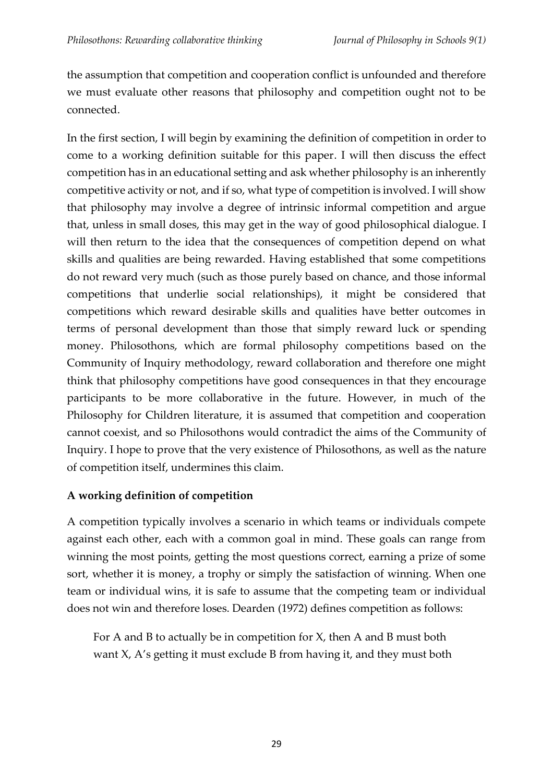the assumption that competition and cooperation conflict is unfounded and therefore we must evaluate other reasons that philosophy and competition ought not to be connected.

In the first section, I will begin by examining the definition of competition in order to come to a working definition suitable for this paper. I will then discuss the effect competition has in an educational setting and ask whether philosophy is an inherently competitive activity or not, and if so, what type of competition is involved. I will show that philosophy may involve a degree of intrinsic informal competition and argue that, unless in small doses, this may get in the way of good philosophical dialogue. I will then return to the idea that the consequences of competition depend on what skills and qualities are being rewarded. Having established that some competitions do not reward very much (such as those purely based on chance, and those informal competitions that underlie social relationships), it might be considered that competitions which reward desirable skills and qualities have better outcomes in terms of personal development than those that simply reward luck or spending money. Philosothons, which are formal philosophy competitions based on the Community of Inquiry methodology, reward collaboration and therefore one might think that philosophy competitions have good consequences in that they encourage participants to be more collaborative in the future. However, in much of the Philosophy for Children literature, it is assumed that competition and cooperation cannot coexist, and so Philosothons would contradict the aims of the Community of Inquiry. I hope to prove that the very existence of Philosothons, as well as the nature of competition itself, undermines this claim.

# **A working definition of competition**

A competition typically involves a scenario in which teams or individuals compete against each other, each with a common goal in mind. These goals can range from winning the most points, getting the most questions correct, earning a prize of some sort, whether it is money, a trophy or simply the satisfaction of winning. When one team or individual wins, it is safe to assume that the competing team or individual does not win and therefore loses. Dearden (1972) defines competition as follows:

For A and B to actually be in competition for X, then A and B must both want X, A's getting it must exclude B from having it, and they must both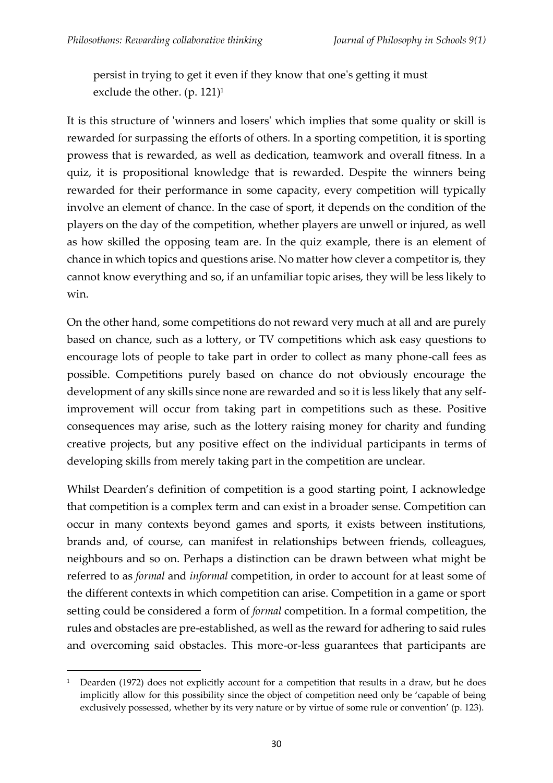persist in trying to get it even if they know that one's getting it must exclude the other.  $(p. 121)^1$ 

It is this structure of 'winners and losers' which implies that some quality or skill is rewarded for surpassing the efforts of others. In a sporting competition, it is sporting prowess that is rewarded, as well as dedication, teamwork and overall fitness. In a quiz, it is propositional knowledge that is rewarded. Despite the winners being rewarded for their performance in some capacity, every competition will typically involve an element of chance. In the case of sport, it depends on the condition of the players on the day of the competition, whether players are unwell or injured, as well as how skilled the opposing team are. In the quiz example, there is an element of chance in which topics and questions arise. No matter how clever a competitor is, they cannot know everything and so, if an unfamiliar topic arises, they will be less likely to win.

On the other hand, some competitions do not reward very much at all and are purely based on chance, such as a lottery, or TV competitions which ask easy questions to encourage lots of people to take part in order to collect as many phone-call fees as possible. Competitions purely based on chance do not obviously encourage the development of any skills since none are rewarded and so it is less likely that any selfimprovement will occur from taking part in competitions such as these. Positive consequences may arise, such as the lottery raising money for charity and funding creative projects, but any positive effect on the individual participants in terms of developing skills from merely taking part in the competition are unclear.

Whilst Dearden's definition of competition is a good starting point, I acknowledge that competition is a complex term and can exist in a broader sense. Competition can occur in many contexts beyond games and sports, it exists between institutions, brands and, of course, can manifest in relationships between friends, colleagues, neighbours and so on. Perhaps a distinction can be drawn between what might be referred to as *formal* and *informal* competition, in order to account for at least some of the different contexts in which competition can arise. Competition in a game or sport setting could be considered a form of *formal* competition. In a formal competition, the rules and obstacles are pre-established, as well as the reward for adhering to said rules and overcoming said obstacles. This more-or-less guarantees that participants are

<sup>&</sup>lt;sup>1</sup> Dearden (1972) does not explicitly account for a competition that results in a draw, but he does implicitly allow for this possibility since the object of competition need only be 'capable of being exclusively possessed, whether by its very nature or by virtue of some rule or convention' (p. 123).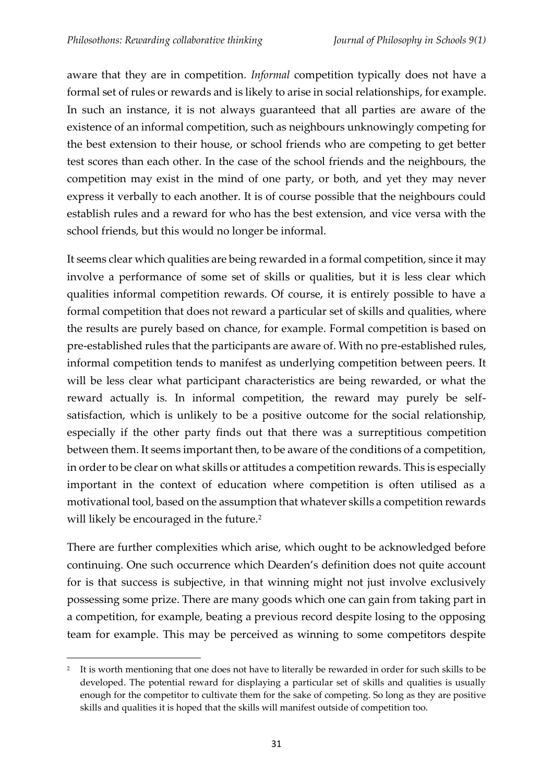aware that they are in competition*. Informal* competition typically does not have a formal set of rules or rewards and is likely to arise in social relationships, for example. In such an instance, it is not always guaranteed that all parties are aware of the existence of an informal competition, such as neighbours unknowingly competing for the best extension to their house, or school friends who are competing to get better test scores than each other. In the case of the school friends and the neighbours, the competition may exist in the mind of one party, or both, and yet they may never express it verbally to each another. It is of course possible that the neighbours could establish rules and a reward for who has the best extension, and vice versa with the school friends, but this would no longer be informal.

It seems clear which qualities are being rewarded in a formal competition, since it may involve a performance of some set of skills or qualities, but it is less clear which qualities informal competition rewards. Of course, it is entirely possible to have a formal competition that does not reward a particular set of skills and qualities, where the results are purely based on chance, for example. Formal competition is based on pre-established rules that the participants are aware of. With no pre-established rules, informal competition tends to manifest as underlying competition between peers. It will be less clear what participant characteristics are being rewarded, or what the reward actually is. In informal competition, the reward may purely be selfsatisfaction, which is unlikely to be a positive outcome for the social relationship, especially if the other party finds out that there was a surreptitious competition between them. It seems important then, to be aware of the conditions of a competition, in order to be clear on what skills or attitudes a competition rewards. This is especially important in the context of education where competition is often utilised as a motivational tool, based on the assumption that whatever skills a competition rewards will likely be encouraged in the future.<sup>2</sup>

There are further complexities which arise, which ought to be acknowledged before continuing. One such occurrence which Dearden's definition does not quite account for is that success is subjective, in that winning might not just involve exclusively possessing some prize. There are many goods which one can gain from taking part in a competition, for example, beating a previous record despite losing to the opposing team for example. This may be perceived as winning to some competitors despite

<sup>2</sup> It is worth mentioning that one does not have to literally be rewarded in order for such skills to be developed. The potential reward for displaying a particular set of skills and qualities is usually enough for the competitor to cultivate them for the sake of competing. So long as they are positive skills and qualities it is hoped that the skills will manifest outside of competition too.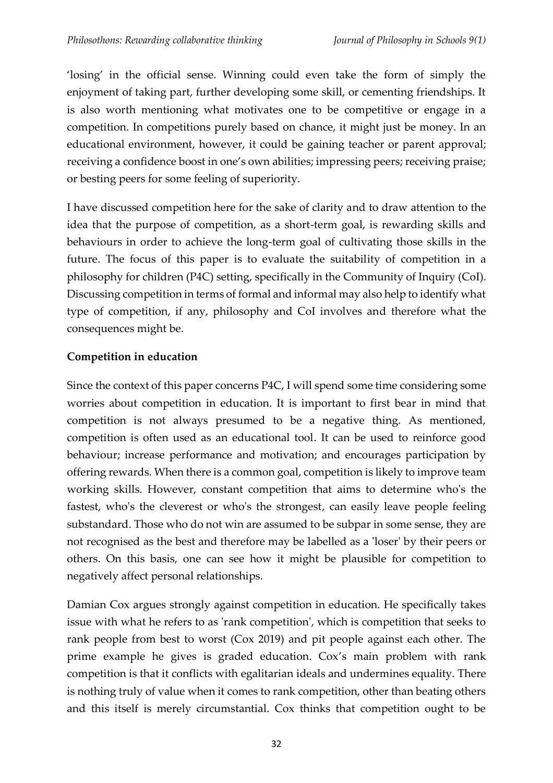'losing' in the official sense. Winning could even take the form of simply the enjoyment of taking part, further developing some skill, or cementing friendships. It is also worth mentioning what motivates one to be competitive or engage in a competition. In competitions purely based on chance, it might just be money. In an educational environment, however, it could be gaining teacher or parent approval; receiving a confidence boost in one's own abilities; impressing peers; receiving praise; or besting peers for some feeling of superiority.

I have discussed competition here for the sake of clarity and to draw attention to the idea that the purpose of competition, as a short-term goal, is rewarding skills and behaviours in order to achieve the long-term goal of cultivating those skills in the future. The focus of this paper is to evaluate the suitability of competition in a philosophy for children (P4C) setting, specifically in the Community of Inquiry (CoI). Discussing competition in terms of formal and informal may also help to identify what type of competition, if any, philosophy and CoI involves and therefore what the consequences might be.

# **Competition in education**

Since the context of this paper concerns P4C, I will spend some time considering some worries about competition in education. It is important to first bear in mind that competition is not always presumed to be a negative thing. As mentioned, competition is often used as an educational tool. It can be used to reinforce good behaviour; increase performance and motivation; and encourages participation by offering rewards. When there is a common goal, competition is likely to improve team working skills. However, constant competition that aims to determine who's the fastest, who's the cleverest or who's the strongest, can easily leave people feeling substandard. Those who do not win are assumed to be subpar in some sense, they are not recognised as the best and therefore may be labelled as a 'loser' by their peers or others. On this basis, one can see how it might be plausible for competition to negatively affect personal relationships.

Damian Cox argues strongly against competition in education. He specifically takes issue with what he refers to as 'rank competition', which is competition that seeks to rank people from best to worst (Cox 2019) and pit people against each other. The prime example he gives is graded education. Cox's main problem with rank competition is that it conflicts with egalitarian ideals and undermines equality. There is nothing truly of value when it comes to rank competition, other than beating others and this itself is merely circumstantial. Cox thinks that competition ought to be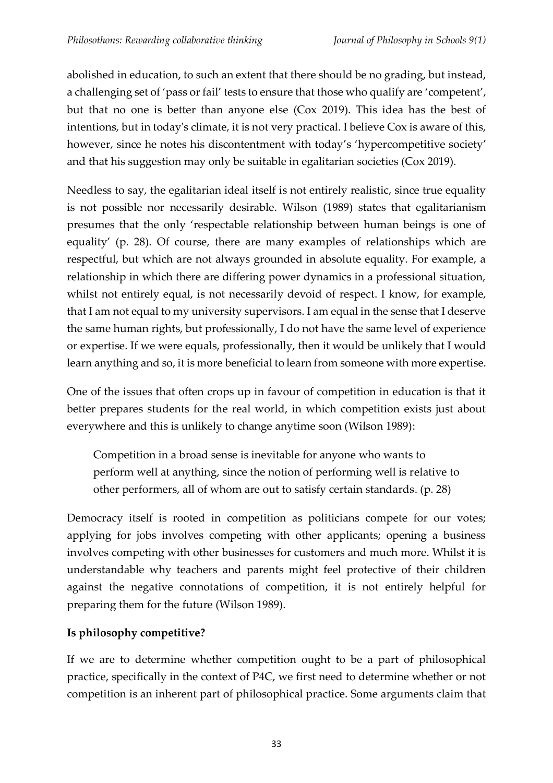abolished in education, to such an extent that there should be no grading, but instead, a challenging set of 'pass or fail' tests to ensure that those who qualify are 'competent', but that no one is better than anyone else (Cox 2019). This idea has the best of intentions, but in today's climate, it is not very practical. I believe Cox is aware of this, however, since he notes his discontentment with today's 'hypercompetitive society' and that his suggestion may only be suitable in egalitarian societies (Cox 2019).

Needless to say, the egalitarian ideal itself is not entirely realistic, since true equality is not possible nor necessarily desirable. Wilson (1989) states that egalitarianism presumes that the only 'respectable relationship between human beings is one of equality' (p. 28). Of course, there are many examples of relationships which are respectful, but which are not always grounded in absolute equality. For example, a relationship in which there are differing power dynamics in a professional situation, whilst not entirely equal, is not necessarily devoid of respect. I know, for example, that I am not equal to my university supervisors. I am equal in the sense that I deserve the same human rights, but professionally, I do not have the same level of experience or expertise. If we were equals, professionally, then it would be unlikely that I would learn anything and so, it is more beneficial to learn from someone with more expertise.

One of the issues that often crops up in favour of competition in education is that it better prepares students for the real world, in which competition exists just about everywhere and this is unlikely to change anytime soon (Wilson 1989):

Competition in a broad sense is inevitable for anyone who wants to perform well at anything, since the notion of performing well is relative to other performers, all of whom are out to satisfy certain standards. (p. 28)

Democracy itself is rooted in competition as politicians compete for our votes; applying for jobs involves competing with other applicants; opening a business involves competing with other businesses for customers and much more. Whilst it is understandable why teachers and parents might feel protective of their children against the negative connotations of competition, it is not entirely helpful for preparing them for the future (Wilson 1989).

# **Is philosophy competitive?**

If we are to determine whether competition ought to be a part of philosophical practice, specifically in the context of P4C, we first need to determine whether or not competition is an inherent part of philosophical practice. Some arguments claim that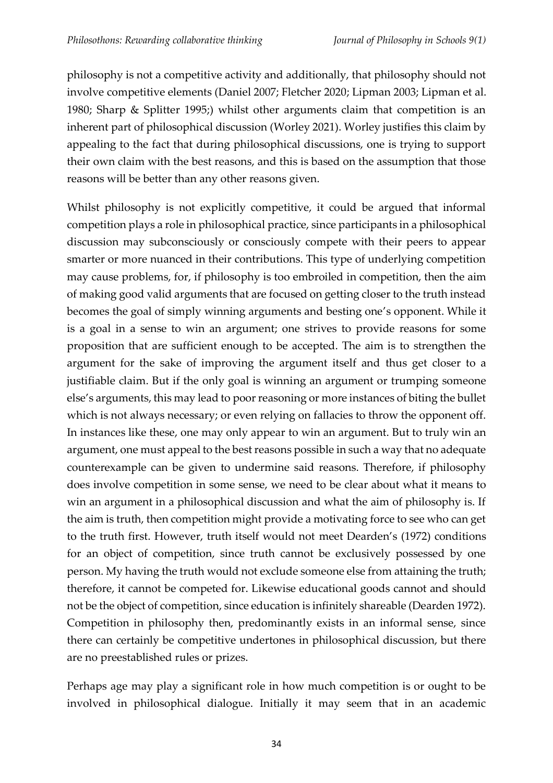philosophy is not a competitive activity and additionally, that philosophy should not involve competitive elements (Daniel 2007; Fletcher 2020; Lipman 2003; Lipman et al. 1980; Sharp & Splitter 1995;) whilst other arguments claim that competition is an inherent part of philosophical discussion (Worley 2021). Worley justifies this claim by appealing to the fact that during philosophical discussions, one is trying to support their own claim with the best reasons, and this is based on the assumption that those reasons will be better than any other reasons given.

Whilst philosophy is not explicitly competitive, it could be argued that informal competition plays a role in philosophical practice, since participants in a philosophical discussion may subconsciously or consciously compete with their peers to appear smarter or more nuanced in their contributions. This type of underlying competition may cause problems, for, if philosophy is too embroiled in competition, then the aim of making good valid arguments that are focused on getting closer to the truth instead becomes the goal of simply winning arguments and besting one's opponent. While it is a goal in a sense to win an argument; one strives to provide reasons for some proposition that are sufficient enough to be accepted. The aim is to strengthen the argument for the sake of improving the argument itself and thus get closer to a justifiable claim. But if the only goal is winning an argument or trumping someone else's arguments, this may lead to poor reasoning or more instances of biting the bullet which is not always necessary; or even relying on fallacies to throw the opponent off. In instances like these, one may only appear to win an argument. But to truly win an argument, one must appeal to the best reasons possible in such a way that no adequate counterexample can be given to undermine said reasons. Therefore, if philosophy does involve competition in some sense, we need to be clear about what it means to win an argument in a philosophical discussion and what the aim of philosophy is. If the aim is truth, then competition might provide a motivating force to see who can get to the truth first. However, truth itself would not meet Dearden's (1972) conditions for an object of competition, since truth cannot be exclusively possessed by one person. My having the truth would not exclude someone else from attaining the truth; therefore, it cannot be competed for. Likewise educational goods cannot and should not be the object of competition, since education is infinitely shareable (Dearden 1972). Competition in philosophy then, predominantly exists in an informal sense, since there can certainly be competitive undertones in philosophical discussion, but there are no preestablished rules or prizes.

Perhaps age may play a significant role in how much competition is or ought to be involved in philosophical dialogue. Initially it may seem that in an academic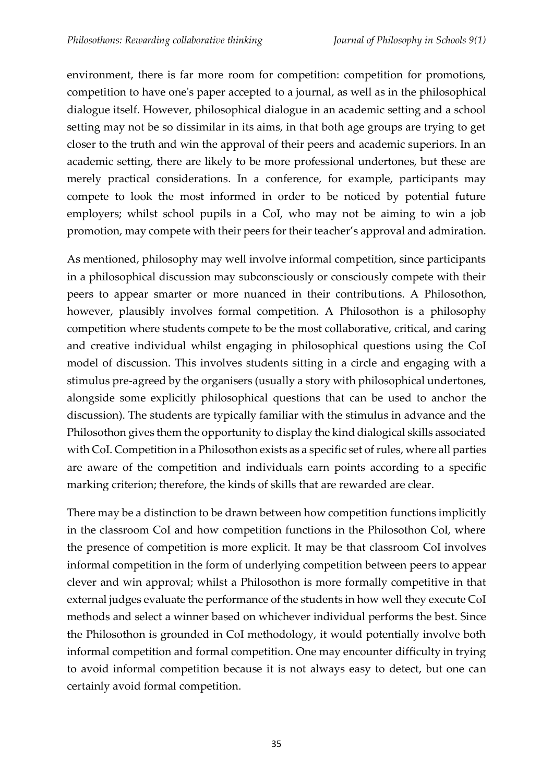environment, there is far more room for competition: competition for promotions, competition to have one's paper accepted to a journal, as well as in the philosophical dialogue itself. However, philosophical dialogue in an academic setting and a school setting may not be so dissimilar in its aims, in that both age groups are trying to get closer to the truth and win the approval of their peers and academic superiors. In an academic setting, there are likely to be more professional undertones, but these are merely practical considerations. In a conference, for example, participants may compete to look the most informed in order to be noticed by potential future employers; whilst school pupils in a CoI, who may not be aiming to win a job promotion, may compete with their peers for their teacher's approval and admiration.

As mentioned, philosophy may well involve informal competition, since participants in a philosophical discussion may subconsciously or consciously compete with their peers to appear smarter or more nuanced in their contributions. A Philosothon, however, plausibly involves formal competition. A Philosothon is a philosophy competition where students compete to be the most collaborative, critical, and caring and creative individual whilst engaging in philosophical questions using the CoI model of discussion. This involves students sitting in a circle and engaging with a stimulus pre-agreed by the organisers (usually a story with philosophical undertones, alongside some explicitly philosophical questions that can be used to anchor the discussion). The students are typically familiar with the stimulus in advance and the Philosothon gives them the opportunity to display the kind dialogical skills associated with CoI. Competition in a Philosothon exists as a specific set of rules, where all parties are aware of the competition and individuals earn points according to a specific marking criterion; therefore, the kinds of skills that are rewarded are clear.

There may be a distinction to be drawn between how competition functions implicitly in the classroom CoI and how competition functions in the Philosothon CoI, where the presence of competition is more explicit. It may be that classroom CoI involves informal competition in the form of underlying competition between peers to appear clever and win approval; whilst a Philosothon is more formally competitive in that external judges evaluate the performance of the students in how well they execute CoI methods and select a winner based on whichever individual performs the best. Since the Philosothon is grounded in CoI methodology, it would potentially involve both informal competition and formal competition. One may encounter difficulty in trying to avoid informal competition because it is not always easy to detect, but one can certainly avoid formal competition.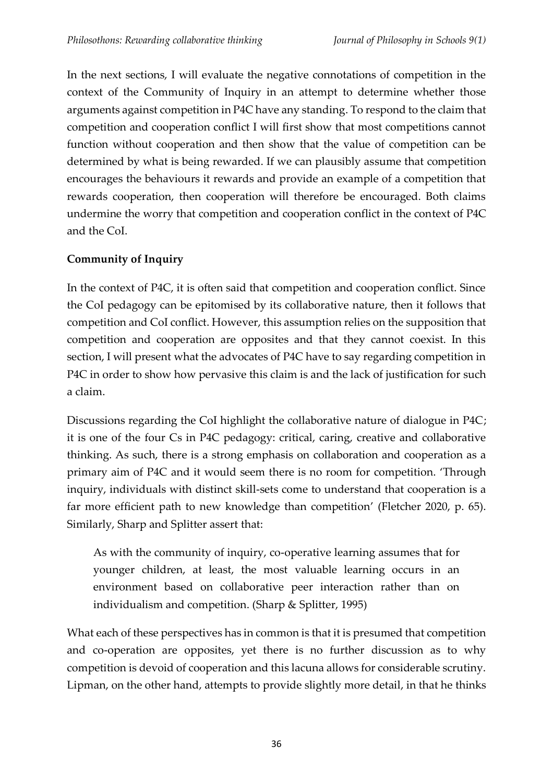In the next sections, I will evaluate the negative connotations of competition in the context of the Community of Inquiry in an attempt to determine whether those arguments against competition in P4C have any standing. To respond to the claim that competition and cooperation conflict I will first show that most competitions cannot function without cooperation and then show that the value of competition can be determined by what is being rewarded. If we can plausibly assume that competition encourages the behaviours it rewards and provide an example of a competition that rewards cooperation, then cooperation will therefore be encouraged. Both claims undermine the worry that competition and cooperation conflict in the context of P4C and the CoI.

# **Community of Inquiry**

In the context of P4C, it is often said that competition and cooperation conflict. Since the CoI pedagogy can be epitomised by its collaborative nature, then it follows that competition and CoI conflict. However, this assumption relies on the supposition that competition and cooperation are opposites and that they cannot coexist. In this section, I will present what the advocates of P4C have to say regarding competition in P4C in order to show how pervasive this claim is and the lack of justification for such a claim.

Discussions regarding the CoI highlight the collaborative nature of dialogue in P4C; it is one of the four Cs in P4C pedagogy: critical, caring, creative and collaborative thinking. As such, there is a strong emphasis on collaboration and cooperation as a primary aim of P4C and it would seem there is no room for competition. 'Through inquiry, individuals with distinct skill-sets come to understand that cooperation is a far more efficient path to new knowledge than competition' (Fletcher 2020, p. 65). Similarly, Sharp and Splitter assert that:

As with the community of inquiry, co-operative learning assumes that for younger children, at least, the most valuable learning occurs in an environment based on collaborative peer interaction rather than on individualism and competition. (Sharp & Splitter, 1995)

What each of these perspectives has in common is that it is presumed that competition and co-operation are opposites, yet there is no further discussion as to why competition is devoid of cooperation and this lacuna allows for considerable scrutiny. Lipman, on the other hand, attempts to provide slightly more detail, in that he thinks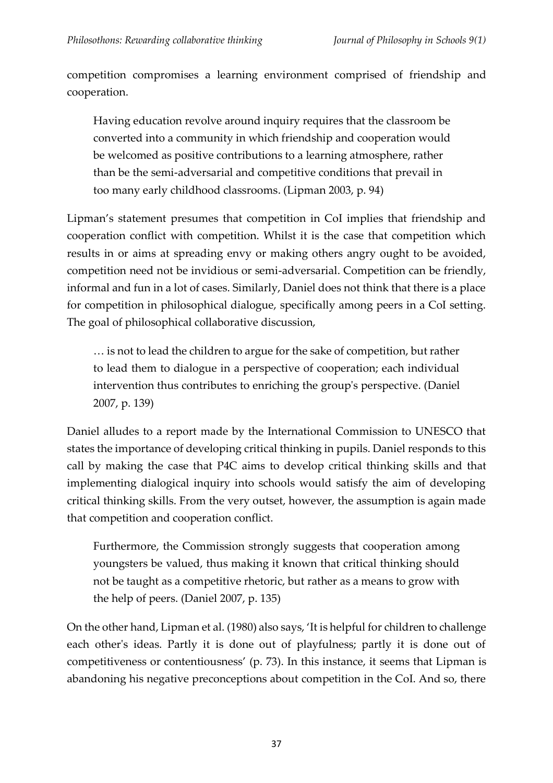competition compromises a learning environment comprised of friendship and cooperation.

Having education revolve around inquiry requires that the classroom be converted into a community in which friendship and cooperation would be welcomed as positive contributions to a learning atmosphere, rather than be the semi-adversarial and competitive conditions that prevail in too many early childhood classrooms. (Lipman 2003, p. 94)

Lipman's statement presumes that competition in CoI implies that friendship and cooperation conflict with competition. Whilst it is the case that competition which results in or aims at spreading envy or making others angry ought to be avoided, competition need not be invidious or semi-adversarial. Competition can be friendly, informal and fun in a lot of cases. Similarly, Daniel does not think that there is a place for competition in philosophical dialogue, specifically among peers in a CoI setting. The goal of philosophical collaborative discussion,

… is not to lead the children to argue for the sake of competition, but rather to lead them to dialogue in a perspective of cooperation; each individual intervention thus contributes to enriching the group's perspective. (Daniel 2007, p. 139)

Daniel alludes to a report made by the International Commission to UNESCO that states the importance of developing critical thinking in pupils. Daniel responds to this call by making the case that P4C aims to develop critical thinking skills and that implementing dialogical inquiry into schools would satisfy the aim of developing critical thinking skills. From the very outset, however, the assumption is again made that competition and cooperation conflict.

Furthermore, the Commission strongly suggests that cooperation among youngsters be valued, thus making it known that critical thinking should not be taught as a competitive rhetoric, but rather as a means to grow with the help of peers. (Daniel 2007, p. 135)

On the other hand, Lipman et al. (1980) also says, 'It is helpful for children to challenge each other's ideas. Partly it is done out of playfulness; partly it is done out of competitiveness or contentiousness' (p. 73). In this instance, it seems that Lipman is abandoning his negative preconceptions about competition in the CoI. And so, there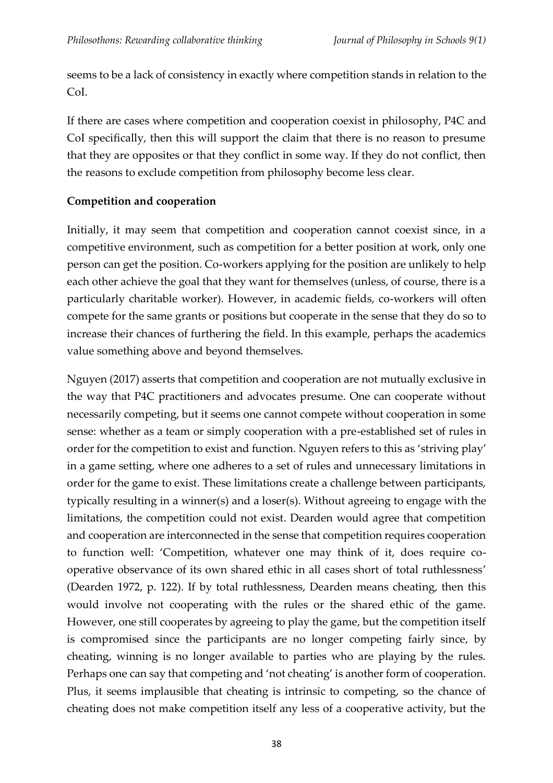seems to be a lack of consistency in exactly where competition stands in relation to the CoI.

If there are cases where competition and cooperation coexist in philosophy, P4C and CoI specifically, then this will support the claim that there is no reason to presume that they are opposites or that they conflict in some way. If they do not conflict, then the reasons to exclude competition from philosophy become less clear.

## **Competition and cooperation**

Initially, it may seem that competition and cooperation cannot coexist since, in a competitive environment, such as competition for a better position at work, only one person can get the position. Co-workers applying for the position are unlikely to help each other achieve the goal that they want for themselves (unless, of course, there is a particularly charitable worker). However, in academic fields, co-workers will often compete for the same grants or positions but cooperate in the sense that they do so to increase their chances of furthering the field. In this example, perhaps the academics value something above and beyond themselves.

Nguyen (2017) asserts that competition and cooperation are not mutually exclusive in the way that P4C practitioners and advocates presume. One can cooperate without necessarily competing, but it seems one cannot compete without cooperation in some sense: whether as a team or simply cooperation with a pre-established set of rules in order for the competition to exist and function. Nguyen refers to this as 'striving play' in a game setting, where one adheres to a set of rules and unnecessary limitations in order for the game to exist. These limitations create a challenge between participants, typically resulting in a winner(s) and a loser(s). Without agreeing to engage with the limitations, the competition could not exist. Dearden would agree that competition and cooperation are interconnected in the sense that competition requires cooperation to function well: 'Competition, whatever one may think of it, does require cooperative observance of its own shared ethic in all cases short of total ruthlessness' (Dearden 1972, p. 122). If by total ruthlessness, Dearden means cheating, then this would involve not cooperating with the rules or the shared ethic of the game. However, one still cooperates by agreeing to play the game, but the competition itself is compromised since the participants are no longer competing fairly since, by cheating, winning is no longer available to parties who are playing by the rules. Perhaps one can say that competing and 'not cheating' is another form of cooperation. Plus, it seems implausible that cheating is intrinsic to competing, so the chance of cheating does not make competition itself any less of a cooperative activity, but the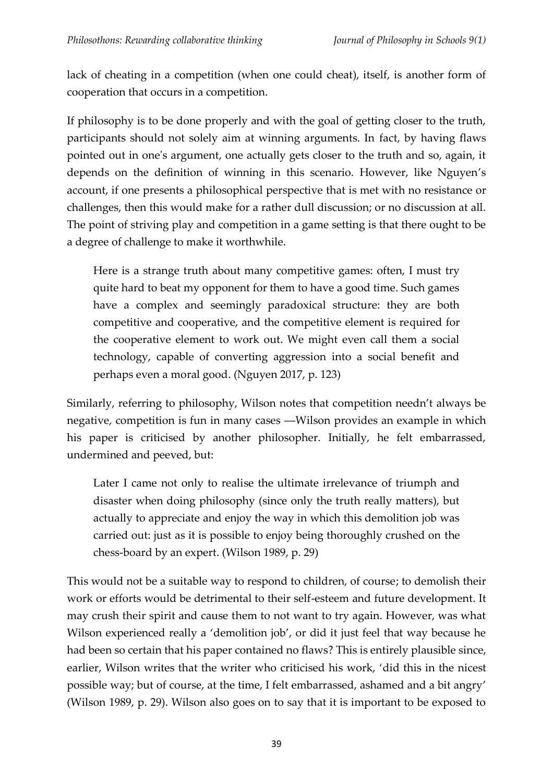lack of cheating in a competition (when one could cheat), itself, is another form of cooperation that occurs in a competition.

If philosophy is to be done properly and with the goal of getting closer to the truth, participants should not solely aim at winning arguments. In fact, by having flaws pointed out in one's argument, one actually gets closer to the truth and so, again, it depends on the definition of winning in this scenario. However, like Nguyen's account, if one presents a philosophical perspective that is met with no resistance or challenges, then this would make for a rather dull discussion; or no discussion at all. The point of striving play and competition in a game setting is that there ought to be a degree of challenge to make it worthwhile.

Here is a strange truth about many competitive games: often, I must try quite hard to beat my opponent for them to have a good time. Such games have a complex and seemingly paradoxical structure: they are both competitive and cooperative, and the competitive element is required for the cooperative element to work out. We might even call them a social technology, capable of converting aggression into a social benefit and perhaps even a moral good. (Nguyen 2017, p. 123)

Similarly, referring to philosophy, Wilson notes that competition needn't always be negative, competition is fun in many cases ―Wilson provides an example in which his paper is criticised by another philosopher. Initially, he felt embarrassed, undermined and peeved, but:

Later I came not only to realise the ultimate irrelevance of triumph and disaster when doing philosophy (since only the truth really matters), but actually to appreciate and enjoy the way in which this demolition job was carried out: just as it is possible to enjoy being thoroughly crushed on the chess-board by an expert. (Wilson 1989, p. 29)

This would not be a suitable way to respond to children, of course; to demolish their work or efforts would be detrimental to their self-esteem and future development. It may crush their spirit and cause them to not want to try again. However, was what Wilson experienced really a 'demolition job', or did it just feel that way because he had been so certain that his paper contained no flaws? This is entirely plausible since, earlier, Wilson writes that the writer who criticised his work, 'did this in the nicest possible way; but of course, at the time, I felt embarrassed, ashamed and a bit angry' (Wilson 1989, p. 29). Wilson also goes on to say that it is important to be exposed to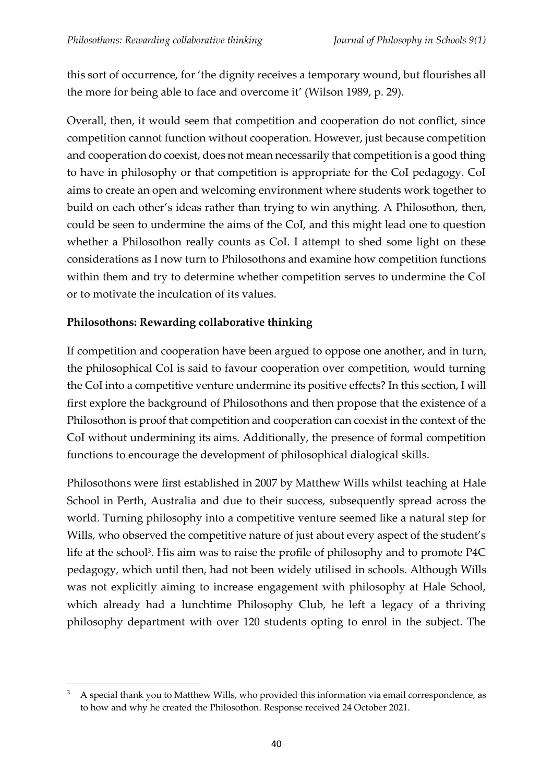this sort of occurrence, for 'the dignity receives a temporary wound, but flourishes all the more for being able to face and overcome it' (Wilson 1989, p. 29).

Overall, then, it would seem that competition and cooperation do not conflict, since competition cannot function without cooperation. However, just because competition and cooperation do coexist, does not mean necessarily that competition is a good thing to have in philosophy or that competition is appropriate for the CoI pedagogy. CoI aims to create an open and welcoming environment where students work together to build on each other's ideas rather than trying to win anything. A Philosothon, then, could be seen to undermine the aims of the CoI, and this might lead one to question whether a Philosothon really counts as CoI. I attempt to shed some light on these considerations as I now turn to Philosothons and examine how competition functions within them and try to determine whether competition serves to undermine the CoI or to motivate the inculcation of its values.

## **Philosothons: Rewarding collaborative thinking**

If competition and cooperation have been argued to oppose one another, and in turn, the philosophical CoI is said to favour cooperation over competition, would turning the CoI into a competitive venture undermine its positive effects? In this section, I will first explore the background of Philosothons and then propose that the existence of a Philosothon is proof that competition and cooperation can coexist in the context of the CoI without undermining its aims. Additionally, the presence of formal competition functions to encourage the development of philosophical dialogical skills.

Philosothons were first established in 2007 by Matthew Wills whilst teaching at Hale School in Perth, Australia and due to their success, subsequently spread across the world. Turning philosophy into a competitive venture seemed like a natural step for Wills, who observed the competitive nature of just about every aspect of the student's life at the school<sup>3</sup>. His aim was to raise the profile of philosophy and to promote P4C pedagogy, which until then, had not been widely utilised in schools. Although Wills was not explicitly aiming to increase engagement with philosophy at Hale School, which already had a lunchtime Philosophy Club, he left a legacy of a thriving philosophy department with over 120 students opting to enrol in the subject. The

<sup>3</sup> A special thank you to Matthew Wills, who provided this information via email correspondence, as to how and why he created the Philosothon. Response received 24 October 2021.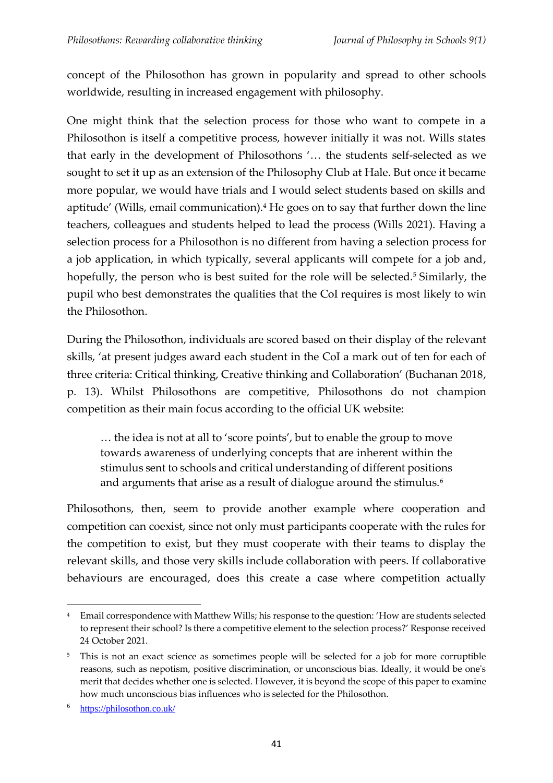concept of the Philosothon has grown in popularity and spread to other schools worldwide, resulting in increased engagement with philosophy.

One might think that the selection process for those who want to compete in a Philosothon is itself a competitive process, however initially it was not. Wills states that early in the development of Philosothons '… the students self-selected as we sought to set it up as an extension of the Philosophy Club at Hale. But once it became more popular, we would have trials and I would select students based on skills and aptitude' (Wills, email communication). <sup>4</sup> He goes on to say that further down the line teachers, colleagues and students helped to lead the process (Wills 2021). Having a selection process for a Philosothon is no different from having a selection process for a job application, in which typically, several applicants will compete for a job and, hopefully, the person who is best suited for the role will be selected.<sup>5</sup> Similarly, the pupil who best demonstrates the qualities that the CoI requires is most likely to win the Philosothon.

During the Philosothon, individuals are scored based on their display of the relevant skills, 'at present judges award each student in the CoI a mark out of ten for each of three criteria: Critical thinking, Creative thinking and Collaboration' (Buchanan 2018, p. 13). Whilst Philosothons are competitive, Philosothons do not champion competition as their main focus according to the official UK website:

… the idea is not at all to 'score points', but to enable the group to move towards awareness of underlying concepts that are inherent within the stimulus sent to schools and critical understanding of different positions and arguments that arise as a result of dialogue around the stimulus.<sup>6</sup>

Philosothons, then, seem to provide another example where cooperation and competition can coexist, since not only must participants cooperate with the rules for the competition to exist, but they must cooperate with their teams to display the relevant skills, and those very skills include collaboration with peers. If collaborative behaviours are encouraged, does this create a case where competition actually

<sup>4</sup> Email correspondence with Matthew Wills; his response to the question: 'How are students selected to represent their school? Is there a competitive element to the selection process?' Response received 24 October 2021.

<sup>&</sup>lt;sup>5</sup> This is not an exact science as sometimes people will be selected for a job for more corruptible reasons, such as nepotism, positive discrimination, or unconscious bias. Ideally, it would be one's merit that decides whether one is selected. However, it is beyond the scope of this paper to examine how much unconscious bias influences who is selected for the Philosothon.

<sup>6</sup> <https://philosothon.co.uk/>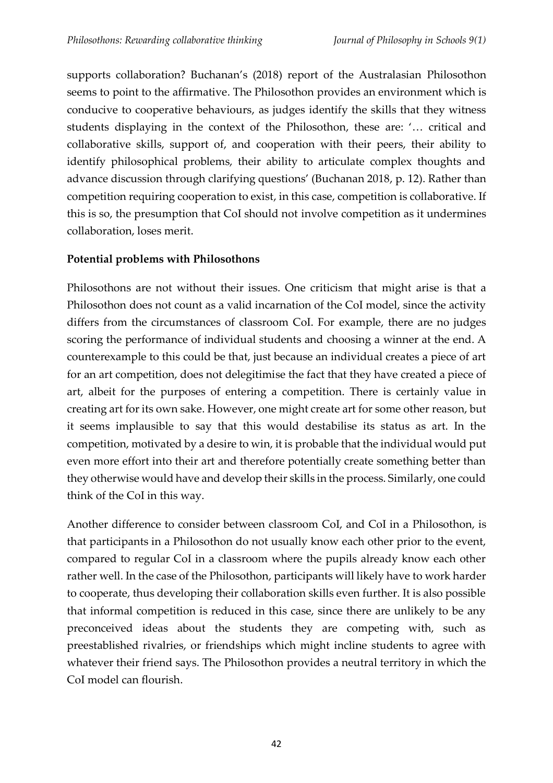supports collaboration? Buchanan's (2018) report of the Australasian Philosothon seems to point to the affirmative. The Philosothon provides an environment which is conducive to cooperative behaviours, as judges identify the skills that they witness students displaying in the context of the Philosothon, these are: '… critical and collaborative skills, support of, and cooperation with their peers, their ability to identify philosophical problems, their ability to articulate complex thoughts and advance discussion through clarifying questions' (Buchanan 2018, p. 12). Rather than competition requiring cooperation to exist, in this case, competition is collaborative. If this is so, the presumption that CoI should not involve competition as it undermines collaboration, loses merit.

## **Potential problems with Philosothons**

Philosothons are not without their issues. One criticism that might arise is that a Philosothon does not count as a valid incarnation of the CoI model, since the activity differs from the circumstances of classroom CoI. For example, there are no judges scoring the performance of individual students and choosing a winner at the end. A counterexample to this could be that, just because an individual creates a piece of art for an art competition, does not delegitimise the fact that they have created a piece of art, albeit for the purposes of entering a competition. There is certainly value in creating art for its own sake. However, one might create art for some other reason, but it seems implausible to say that this would destabilise its status as art. In the competition, motivated by a desire to win, it is probable that the individual would put even more effort into their art and therefore potentially create something better than they otherwise would have and develop their skills in the process. Similarly, one could think of the CoI in this way.

Another difference to consider between classroom CoI, and CoI in a Philosothon, is that participants in a Philosothon do not usually know each other prior to the event, compared to regular CoI in a classroom where the pupils already know each other rather well. In the case of the Philosothon, participants will likely have to work harder to cooperate, thus developing their collaboration skills even further. It is also possible that informal competition is reduced in this case, since there are unlikely to be any preconceived ideas about the students they are competing with, such as preestablished rivalries, or friendships which might incline students to agree with whatever their friend says. The Philosothon provides a neutral territory in which the CoI model can flourish.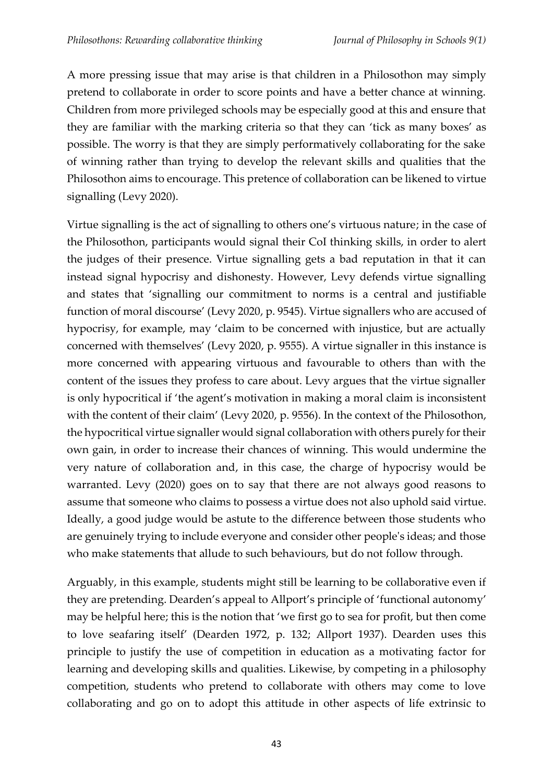A more pressing issue that may arise is that children in a Philosothon may simply pretend to collaborate in order to score points and have a better chance at winning. Children from more privileged schools may be especially good at this and ensure that they are familiar with the marking criteria so that they can 'tick as many boxes' as possible. The worry is that they are simply performatively collaborating for the sake of winning rather than trying to develop the relevant skills and qualities that the Philosothon aims to encourage. This pretence of collaboration can be likened to virtue signalling (Levy 2020).

Virtue signalling is the act of signalling to others one's virtuous nature; in the case of the Philosothon, participants would signal their CoI thinking skills, in order to alert the judges of their presence. Virtue signalling gets a bad reputation in that it can instead signal hypocrisy and dishonesty. However, Levy defends virtue signalling and states that 'signalling our commitment to norms is a central and justifiable function of moral discourse' (Levy 2020, p. 9545). Virtue signallers who are accused of hypocrisy, for example, may 'claim to be concerned with injustice, but are actually concerned with themselves' (Levy 2020, p. 9555). A virtue signaller in this instance is more concerned with appearing virtuous and favourable to others than with the content of the issues they profess to care about. Levy argues that the virtue signaller is only hypocritical if 'the agent's motivation in making a moral claim is inconsistent with the content of their claim' (Levy 2020, p. 9556). In the context of the Philosothon, the hypocritical virtue signaller would signal collaboration with others purely for their own gain, in order to increase their chances of winning. This would undermine the very nature of collaboration and, in this case, the charge of hypocrisy would be warranted. Levy (2020) goes on to say that there are not always good reasons to assume that someone who claims to possess a virtue does not also uphold said virtue. Ideally, a good judge would be astute to the difference between those students who are genuinely trying to include everyone and consider other people's ideas; and those who make statements that allude to such behaviours, but do not follow through.

Arguably, in this example, students might still be learning to be collaborative even if they are pretending. Dearden's appeal to Allport's principle of 'functional autonomy' may be helpful here; this is the notion that 'we first go to sea for profit, but then come to love seafaring itself' (Dearden 1972, p. 132; Allport 1937). Dearden uses this principle to justify the use of competition in education as a motivating factor for learning and developing skills and qualities. Likewise, by competing in a philosophy competition, students who pretend to collaborate with others may come to love collaborating and go on to adopt this attitude in other aspects of life extrinsic to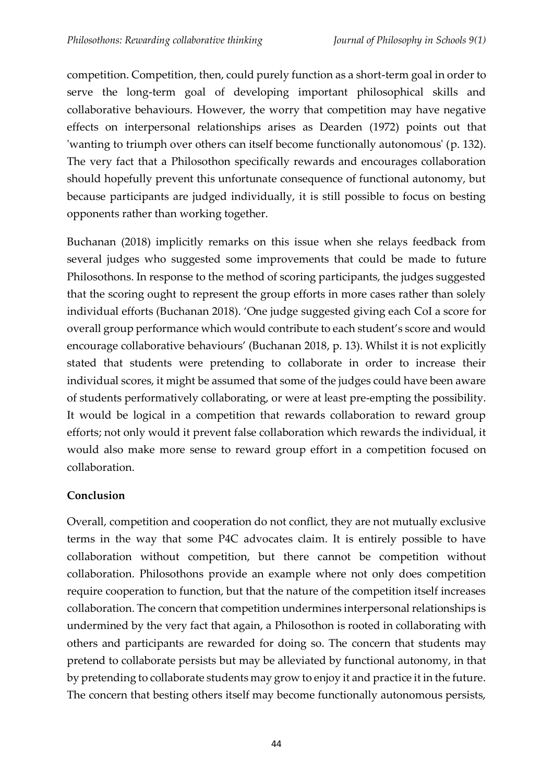competition. Competition, then, could purely function as a short-term goal in order to serve the long-term goal of developing important philosophical skills and collaborative behaviours. However, the worry that competition may have negative effects on interpersonal relationships arises as Dearden (1972) points out that 'wanting to triumph over others can itself become functionally autonomous' (p. 132). The very fact that a Philosothon specifically rewards and encourages collaboration should hopefully prevent this unfortunate consequence of functional autonomy, but because participants are judged individually, it is still possible to focus on besting opponents rather than working together.

Buchanan (2018) implicitly remarks on this issue when she relays feedback from several judges who suggested some improvements that could be made to future Philosothons. In response to the method of scoring participants, the judges suggested that the scoring ought to represent the group efforts in more cases rather than solely individual efforts (Buchanan 2018). 'One judge suggested giving each CoI a score for overall group performance which would contribute to each student's score and would encourage collaborative behaviours' (Buchanan 2018, p. 13). Whilst it is not explicitly stated that students were pretending to collaborate in order to increase their individual scores, it might be assumed that some of the judges could have been aware of students performatively collaborating, or were at least pre-empting the possibility. It would be logical in a competition that rewards collaboration to reward group efforts; not only would it prevent false collaboration which rewards the individual, it would also make more sense to reward group effort in a competition focused on collaboration.

# **Conclusion**

Overall, competition and cooperation do not conflict, they are not mutually exclusive terms in the way that some P4C advocates claim. It is entirely possible to have collaboration without competition, but there cannot be competition without collaboration. Philosothons provide an example where not only does competition require cooperation to function, but that the nature of the competition itself increases collaboration. The concern that competition undermines interpersonal relationships is undermined by the very fact that again, a Philosothon is rooted in collaborating with others and participants are rewarded for doing so. The concern that students may pretend to collaborate persists but may be alleviated by functional autonomy, in that by pretending to collaborate students may grow to enjoy it and practice it in the future. The concern that besting others itself may become functionally autonomous persists,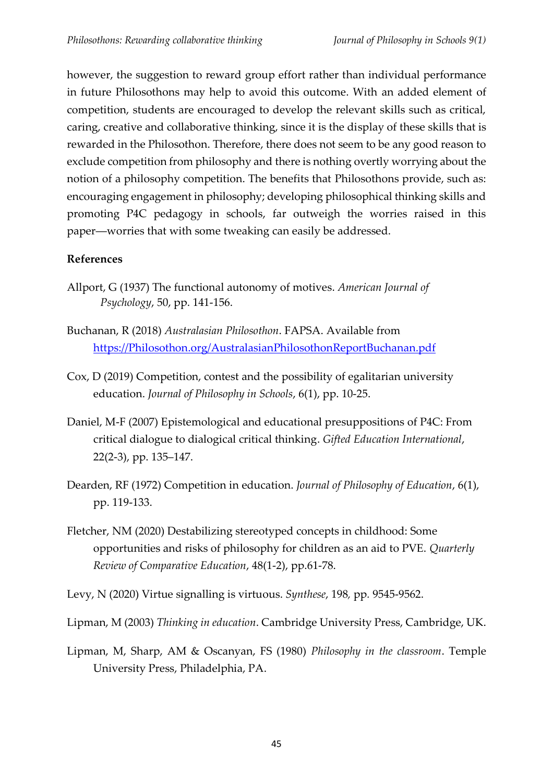however, the suggestion to reward group effort rather than individual performance in future Philosothons may help to avoid this outcome. With an added element of competition, students are encouraged to develop the relevant skills such as critical, caring, creative and collaborative thinking, since it is the display of these skills that is rewarded in the Philosothon. Therefore, there does not seem to be any good reason to exclude competition from philosophy and there is nothing overtly worrying about the notion of a philosophy competition. The benefits that Philosothons provide, such as: encouraging engagement in philosophy; developing philosophical thinking skills and promoting P4C pedagogy in schools, far outweigh the worries raised in this paper―worries that with some tweaking can easily be addressed.

## **References**

- Allport, G (1937) The functional autonomy of motives. *American Journal of Psychology*, 50, pp. 141-156.
- Buchanan, R (2018) *Australasian Philosothon*. FAPSA. Available from [https://Philosothon.org/AustralasianPhilosothonReportBuchanan.pdf](https://philosothon.org/AustralasianPhilosothonReportBuchanan.pdf)
- Cox, D (2019) Competition, contest and the possibility of egalitarian university education. *Journal of Philosophy in Schools*, 6(1), pp. 10-25.
- Daniel, M-F (2007) Epistemological and educational presuppositions of P4C: From critical dialogue to dialogical critical thinking. *Gifted Education International*, 22(2-3), pp. 135–147.
- Dearden, RF (1972) Competition in education. *Journal of Philosophy of Education*, 6(1), pp. 119-133.
- Fletcher, NM (2020) Destabilizing stereotyped concepts in childhood: Some opportunities and risks of philosophy for children as an aid to PVE. *Quarterly Review of Comparative Education*, 48(1-2), pp.61-78.
- Levy, N (2020) Virtue signalling is virtuous. *Synthese*, 198*,* pp*.* 9545-9562.
- Lipman, M (2003) *Thinking in education*. Cambridge University Press, Cambridge, UK.
- Lipman, M, Sharp, AM & Oscanyan, FS (1980) *Philosophy in the classroom*. Temple University Press, Philadelphia, PA.